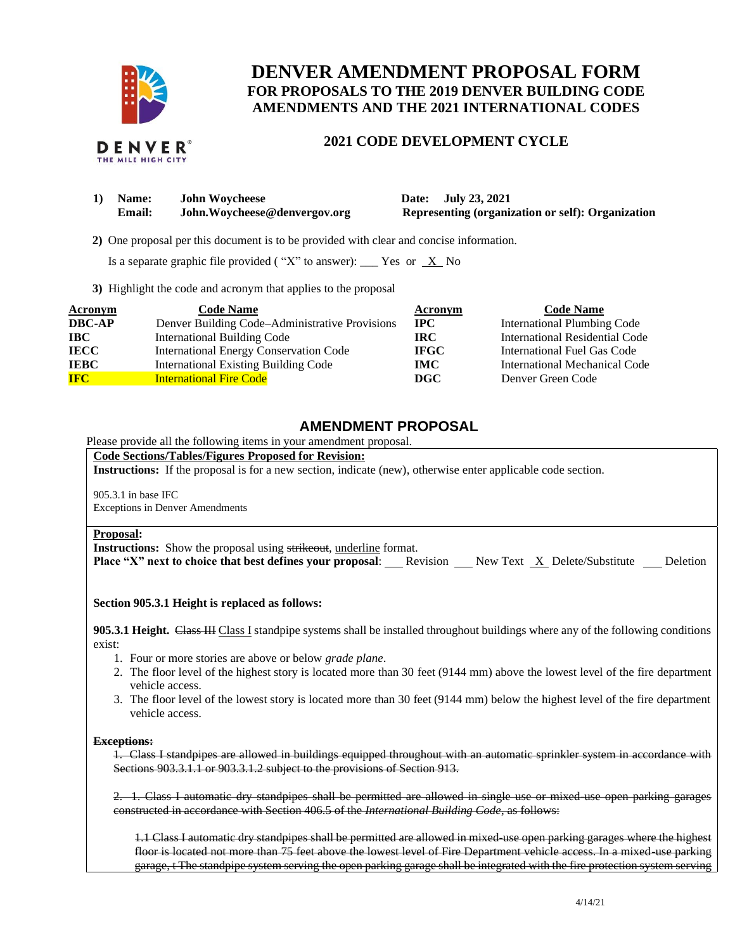

# **DENVER AMENDMENT PROPOSAL FORM FOR PROPOSALS TO THE 2019 DENVER BUILDING CODE AMENDMENTS AND THE 2021 INTERNATIONAL CODES**

## **2021 CODE DEVELOPMENT CYCLE**

| 1) | <b>Name:</b> | <b>John Woycheese</b>        |
|----|--------------|------------------------------|
|    | Email:       | John.Woycheese@denvergov.org |

**1) Date: July 23, 2021 Representing (organization or self): Organization** 

 **2)** One proposal per this document is to be provided with clear and concise information.

Is a separate graphic file provided ("X" to answer): \_\_\_ Yes or  $X$  No

**3)** Highlight the code and acronym that applies to the proposal

| <b>Acronym</b> | <b>Code Name</b>                               | Acronym      | <b>Code Name</b>                   |
|----------------|------------------------------------------------|--------------|------------------------------------|
| <b>DBC-AP</b>  | Denver Building Code–Administrative Provisions | $_{\rm IPC}$ | <b>International Plumbing Code</b> |
| <b>IBC</b>     | <b>International Building Code</b>             | IRC.         | International Residential Code     |
| <b>IECC</b>    | International Energy Conservation Code         | <b>IFGC</b>  | International Fuel Gas Code        |
| <b>IEBC</b>    | <b>International Existing Building Code</b>    | <b>IMC</b>   | International Mechanical Code      |
| <b>IFC</b>     | <b>International Fire Code</b>                 | <b>DGC</b>   | Denver Green Code                  |

## **AMENDMENT PROPOSAL**

Please provide all the following items in your amendment proposal.

#### **Code Sections/Tables/Figures Proposed for Revision:**

**Instructions:** If the proposal is for a new section, indicate (new), otherwise enter applicable code section.

905.3.1 in base IFC Exceptions in Denver Amendments

#### **Proposal:**

**Instructions:** Show the proposal using strikeout, underline format.

**Place "X" next to choice that best defines your proposal:** Revision New Text X Delete/Substitute Deletion

#### **Section 905.3.1 Height is replaced as follows:**

**905.3.1 Height.** Class III Class I standpipe systems shall be installed throughout buildings where any of the following conditions exist:

- 1. Four or more stories are above or below *grade plane*.
- 2. The floor level of the highest story is located more than 30 feet (9144 mm) above the lowest level of the fire department vehicle access.
- 3. The floor level of the lowest story is located more than 30 feet (9144 mm) below the highest level of the fire department vehicle access.

#### **Exceptions:**

1. Class I standpipes are allowed in buildings equipped throughout with an automatic sprinkler system in accordance with Sections 903.3.1.1 or 903.3.1.2 subject to the provisions of Section 913.

2. 1. Class I automatic dry standpipes shall be permitted are allowed in single use or mixed-use open parking garages constructed in accordance with Section 406.5 of the *International Building Code*, as follows:

1.1 Class I automatic dry standpipes shall be permitted are allowed in mixed-use open parking garages where the highest floor is located not more than 75 feet above the lowest level of Fire Department vehicle access. In a mixed-use parking garage, t The standpipe system serving the open parking garage shall be integrated with the fire protection system serving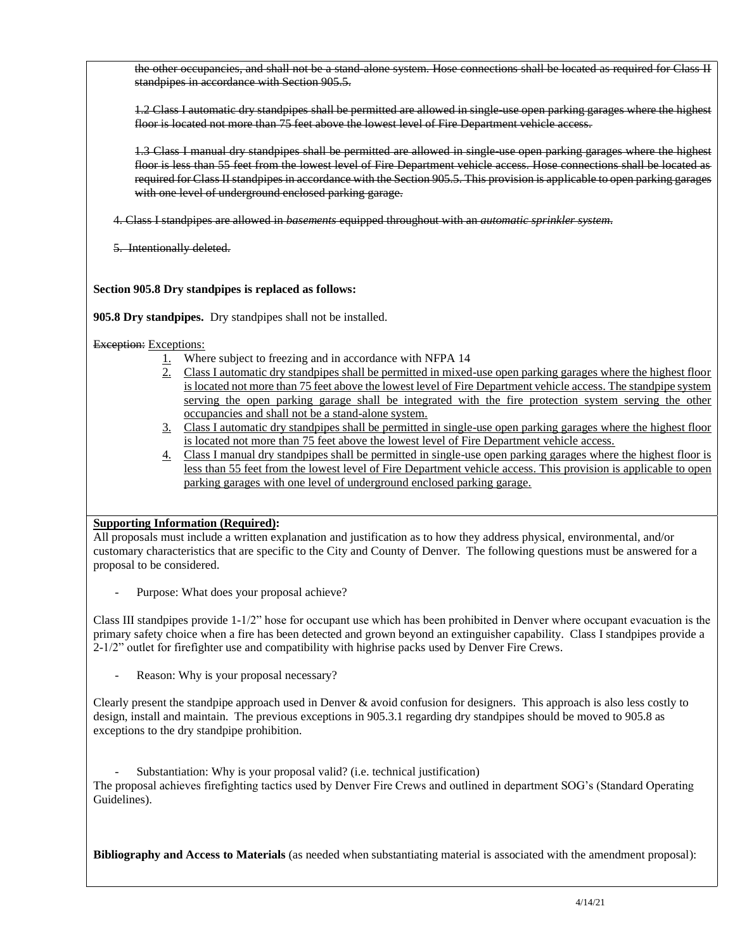the other occupancies, and shall not be a stand-alone system. Hose connections shall be located as required for Class II standpipes in accordance with Section 905.5.

1.2 Class I automatic dry standpipes shall be permitted are allowed in single-use open parking garages where the highest floor is located not more than 75 feet above the lowest level of Fire Department vehicle access.

1.3 Class I manual dry standpipes shall be permitted are allowed in single-use open parking garages where the highest floor is less than 55 feet from the lowest level of Fire Department vehicle access. Hose connections shall be located as required for Class II standpipes in accordance with the Section 905.5. This provision is applicable to open parking garages with one level of underground enclosed parking garage.

4. Class I standpipes are allowed in *basements* equipped throughout with an *automatic sprinkler system*.

5. Intentionally deleted.

## **Section 905.8 Dry standpipes is replaced as follows:**

**905.8 Dry standpipes.** Dry standpipes shall not be installed.

## Exception: Exceptions:

- 1. Where subject to freezing and in accordance with NFPA 14
- 2. Class I automatic dry standpipes shall be permitted in mixed-use open parking garages where the highest floor is located not more than 75 feet above the lowest level of Fire Department vehicle access. The standpipe system serving the open parking garage shall be integrated with the fire protection system serving the other occupancies and shall not be a stand-alone system.
- 3. Class I automatic dry standpipes shall be permitted in single-use open parking garages where the highest floor is located not more than 75 feet above the lowest level of Fire Department vehicle access.
- 4. Class I manual dry standpipes shall be permitted in single-use open parking garages where the highest floor is less than 55 feet from the lowest level of Fire Department vehicle access. This provision is applicable to open parking garages with one level of underground enclosed parking garage.

## **Supporting Information (Required):**

All proposals must include a written explanation and justification as to how they address physical, environmental, and/or customary characteristics that are specific to the City and County of Denver. The following questions must be answered for a proposal to be considered.

Purpose: What does your proposal achieve?

Class III standpipes provide 1-1/2" hose for occupant use which has been prohibited in Denver where occupant evacuation is the primary safety choice when a fire has been detected and grown beyond an extinguisher capability. Class I standpipes provide a 2-1/2" outlet for firefighter use and compatibility with highrise packs used by Denver Fire Crews.

Reason: Why is your proposal necessary?

Clearly present the standpipe approach used in Denver & avoid confusion for designers. This approach is also less costly to design, install and maintain. The previous exceptions in 905.3.1 regarding dry standpipes should be moved to 905.8 as exceptions to the dry standpipe prohibition.

Substantiation: Why is your proposal valid? (i.e. technical justification) The proposal achieves firefighting tactics used by Denver Fire Crews and outlined in department SOG's (Standard Operating Guidelines).

**Bibliography and Access to Materials** (as needed when substantiating material is associated with the amendment proposal):